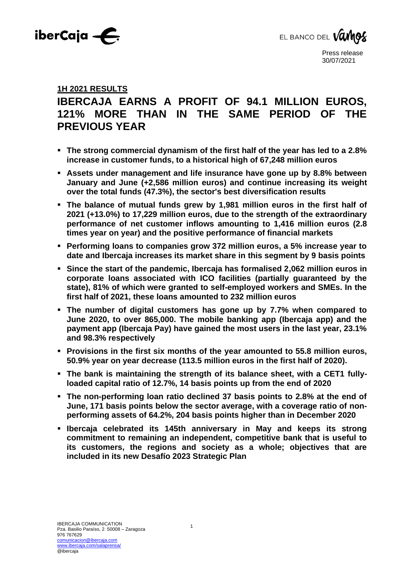



# **1H 2021 RESULTS**

# **IBERCAJA EARNS A PROFIT OF 94.1 MILLION EUROS, 121% MORE THAN IN THE SAME PERIOD OF THE PREVIOUS YEAR**

- **The strong commercial dynamism of the first half of the year has led to a 2.8% increase in customer funds, to a historical high of 67,248 million euros**
- **Example 1 Assets under management and life insurance have gone up by 8.8% between January and June (+2,586 million euros) and continue increasing its weight over the total funds (47.3%), the sector's best diversification results**
- **The balance of mutual funds grew by 1,981 million euros in the first half of 2021 (+13.0%) to 17,229 million euros, due to the strength of the extraordinary performance of net customer inflows amounting to 1,416 million euros (2.8 times year on year) and the positive performance of financial markets**
- **Performing loans to companies grow 372 million euros, a 5% increase year to date and Ibercaja increases its market share in this segment by 9 basis points**
- **Since the start of the pandemic, Ibercaja has formalised 2,062 million euros in corporate loans associated with ICO facilities (partially guaranteed by the state), 81% of which were granted to self-employed workers and SMEs. In the first half of 2021, these loans amounted to 232 million euros**
- **The number of digital customers has gone up by 7.7% when compared to June 2020, to over 865,000. The mobile banking app (Ibercaja app) and the payment app (Ibercaja Pay) have gained the most users in the last year, 23.1% and 98.3% respectively**
- Provisions in the first six months of the year amounted to 55.8 million euros, **50.9% year on year decrease (113.5 million euros in the first half of 2020).**
- **The bank is maintaining the strength of its balance sheet, with a CET1 fullyloaded capital ratio of 12.7%, 14 basis points up from the end of 2020**
- **The non-performing loan ratio declined 37 basis points to 2.8% at the end of June, 171 basis points below the sector average, with a coverage ratio of nonperforming assets of 64.2%, 204 basis points higher than in December 2020**
- **Ibercaja celebrated its 145th anniversary in May and keeps its strong commitment to remaining an independent, competitive bank that is useful to its customers, the regions and society as a whole; objectives that are included in its new Desafío 2023 Strategic Plan**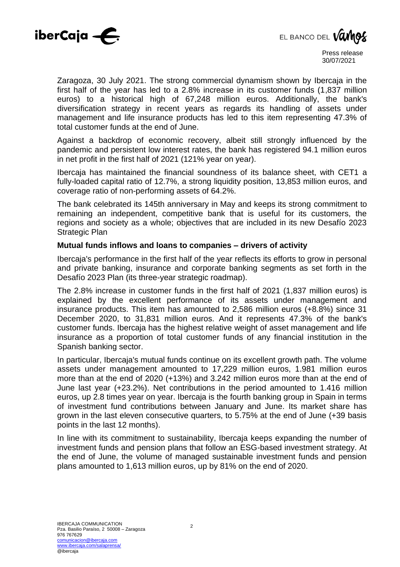



Zaragoza, 30 July 2021. The strong commercial dynamism shown by Ibercaja in the first half of the year has led to a 2.8% increase in its customer funds (1,837 million euros) to a historical high of 67,248 million euros. Additionally, the bank's diversification strategy in recent years as regards its handling of assets under management and life insurance products has led to this item representing 47.3% of total customer funds at the end of June.

Against a backdrop of economic recovery, albeit still strongly influenced by the pandemic and persistent low interest rates, the bank has registered 94.1 million euros in net profit in the first half of 2021 (121% year on year).

Ibercaja has maintained the financial soundness of its balance sheet, with CET1 a fully-loaded capital ratio of 12.7%, a strong liquidity position, 13,853 million euros, and coverage ratio of non-performing assets of 64.2%.

The bank celebrated its 145th anniversary in May and keeps its strong commitment to remaining an independent, competitive bank that is useful for its customers, the regions and society as a whole; objectives that are included in its new Desafío 2023 Strategic Plan

# **Mutual funds inflows and loans to companies – drivers of activity**

Ibercaja's performance in the first half of the year reflects its efforts to grow in personal and private banking, insurance and corporate banking segments as set forth in the Desafío 2023 Plan (its three-year strategic roadmap).

The 2.8% increase in customer funds in the first half of 2021 (1,837 million euros) is explained by the excellent performance of its assets under management and insurance products. This item has amounted to 2,586 million euros (+8.8%) since 31 December 2020, to 31,831 million euros. And it represents 47.3% of the bank's customer funds. Ibercaja has the highest relative weight of asset management and life insurance as a proportion of total customer funds of any financial institution in the Spanish banking sector.

In particular, Ibercaja's mutual funds continue on its excellent growth path. The volume assets under management amounted to 17,229 million euros, 1.981 million euros more than at the end of 2020 (+13%) and 3.242 million euros more than at the end of June last year (+23.2%). Net contributions in the period amounted to 1.416 million euros, up 2.8 times year on year. Ibercaja is the fourth banking group in Spain in terms of investment fund contributions between January and June. Its market share has grown in the last eleven consecutive quarters, to 5.75% at the end of June (+39 basis points in the last 12 months).

In line with its commitment to sustainability, Ibercaja keeps expanding the number of investment funds and pension plans that follow an ESG-based investment strategy. At the end of June, the volume of managed sustainable investment funds and pension plans amounted to 1,613 million euros, up by 81% on the end of 2020.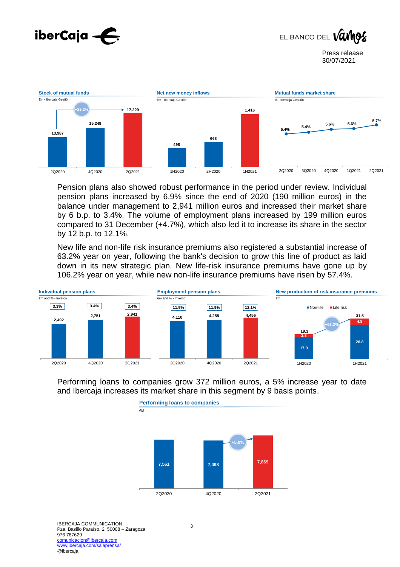





Pension plans also showed robust performance in the period under review. Individual pension plans increased by 6.9% since the end of 2020 (190 million euros) in the balance under management to 2,941 million euros and increased their market share by 6 b.p. to 3.4%. The volume of employment plans increased by 199 million euros compared to 31 December (+4.7%), which also led it to increase its share in the sector by 12 b.p. to 12.1%.

New life and non-life risk insurance premiums also registered a substantial increase of 63.2% year on year, following the bank's decision to grow this line of product as laid down in its new strategic plan. New life-risk insurance premiums have gone up by 106.2% year on year, while new non-life insurance premiums have risen by 57.4%.



Performing loans to companies grow 372 million euros, a 5% increase year to date and Ibercaja increases its market share in this segment by 9 basis points.

**Performing loans to companies**



3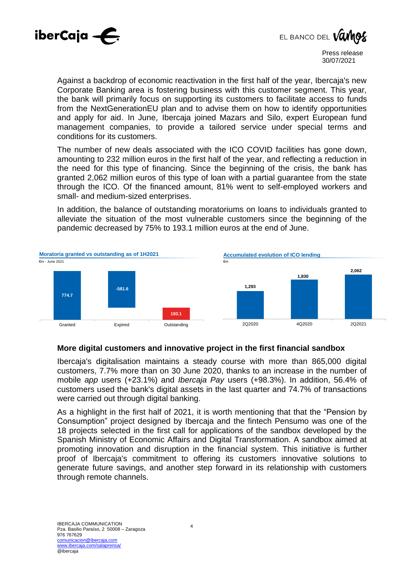



Against a backdrop of economic reactivation in the first half of the year, Ibercaja's new Corporate Banking area is fostering business with this customer segment. This year, the bank will primarily focus on supporting its customers to facilitate access to funds from the NextGenerationEU plan and to advise them on how to identify opportunities and apply for aid. In June, Ibercaja joined Mazars and Silo, expert European fund management companies, to provide a tailored service under special terms and conditions for its customers.

The number of new deals associated with the ICO COVID facilities has gone down, amounting to 232 million euros in the first half of the year, and reflecting a reduction in the need for this type of financing. Since the beginning of the crisis, the bank has granted 2,062 million euros of this type of loan with a partial guarantee from the state through the ICO. Of the financed amount, 81% went to self-employed workers and small- and medium-sized enterprises.

In addition, the balance of outstanding moratoriums on loans to individuals granted to alleviate the situation of the most vulnerable customers since the beginning of the pandemic decreased by 75% to 193.1 million euros at the end of June.



## **More digital customers and innovative project in the first financial sandbox**

Ibercaja's digitalisation maintains a steady course with more than 865,000 digital customers, 7.7% more than on 30 June 2020, thanks to an increase in the number of mobile *app* users (+23.1%) and *Ibercaja Pay* users (+98.3%). In addition, 56.4% of customers used the bank's digital assets in the last quarter and 74.7% of transactions were carried out through digital banking.

As a highlight in the first half of 2021, it is worth mentioning that that the "Pension by Consumption" project designed by Ibercaja and the fintech Pensumo was one of the 18 projects selected in the first call for applications of the sandbox developed by the Spanish Ministry of Economic Affairs and Digital Transformation. A sandbox aimed at promoting innovation and disruption in the financial system. This initiative is further proof of Ibercaja's commitment to offering its customers innovative solutions to generate future savings, and another step forward in its relationship with customers through remote channels.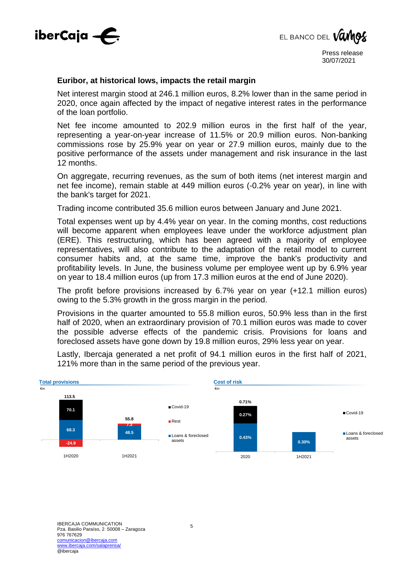



#### **Euribor, at historical lows, impacts the retail margin**

Net interest margin stood at 246.1 million euros, 8.2% lower than in the same period in 2020, once again affected by the impact of negative interest rates in the performance of the loan portfolio.

Net fee income amounted to 202.9 million euros in the first half of the year, representing a year-on-year increase of 11.5% or 20.9 million euros. Non-banking commissions rose by 25.9% year on year or 27.9 million euros, mainly due to the positive performance of the assets under management and risk insurance in the last 12 months.

On aggregate, recurring revenues, as the sum of both items (net interest margin and net fee income), remain stable at 449 million euros (-0.2% year on year), in line with the bank's target for 2021.

Trading income contributed 35.6 million euros between January and June 2021.

Total expenses went up by 4.4% year on year. In the coming months, cost reductions will become apparent when employees leave under the workforce adjustment plan (ERE). This restructuring, which has been agreed with a majority of employee representatives, will also contribute to the adaptation of the retail model to current consumer habits and, at the same time, improve the bank's productivity and profitability levels. In June, the business volume per employee went up by 6.9% year on year to 18.4 million euros (up from 17.3 million euros at the end of June 2020).

The profit before provisions increased by 6.7% year on year (+12.1 million euros) owing to the 5.3% growth in the gross margin in the period.

Provisions in the quarter amounted to 55.8 million euros, 50.9% less than in the first half of 2020, when an extraordinary provision of 70.1 million euros was made to cover the possible adverse effects of the pandemic crisis. Provisions for loans and foreclosed assets have gone down by 19.8 million euros, 29% less year on year.

**Total provisions** €m **68.3 48.5 -24.9 7.3 70.1 113.5 55.8** 1H2020 1H2021 Covid-19 ■Rest Loans & foreclosed assets **Cost of risk**  €m **0.43% 0.30% 0.27% 0.71%** 2020 1H2021 Covid-19 Loans & foreclosed assets

Lastly, Ibercaja generated a net profit of 94.1 million euros in the first half of 2021, 121% more than in the same period of the previous year.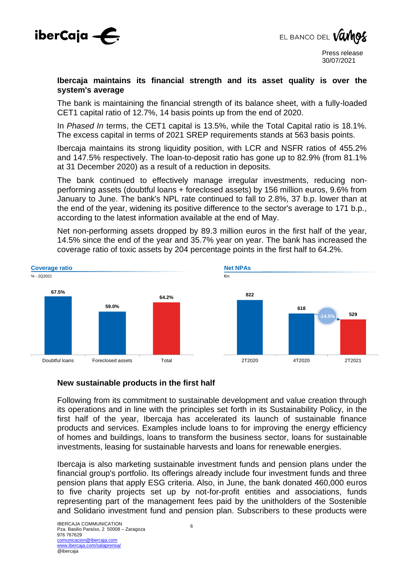



### **Ibercaja maintains its financial strength and its asset quality is over the system's average**

The bank is maintaining the financial strength of its balance sheet, with a fully-loaded CET1 capital ratio of 12.7%, 14 basis points up from the end of 2020.

In *Phased In* terms, the CET1 capital is 13.5%, while the Total Capital ratio is 18.1%. The excess capital in terms of 2021 SREP requirements stands at 563 basis points.

Ibercaja maintains its strong liquidity position, with LCR and NSFR ratios of 455.2% and 147.5% respectively. The loan-to-deposit ratio has gone up to 82.9% (from 81.1% at 31 December 2020) as a result of a reduction in deposits.

The bank continued to effectively manage irregular investments, reducing nonperforming assets (doubtful loans + foreclosed assets) by 156 million euros, 9.6% from January to June. The bank's NPL rate continued to fall to 2.8%, 37 b.p. lower than at the end of the year, widening its positive difference to the sector's average to 171 b.p., according to the latest information available at the end of May.

Net non-performing assets dropped by 89.3 million euros in the first half of the year, 14.5% since the end of the year and 35.7% year on year. The bank has increased the coverage ratio of toxic assets by 204 percentage points in the first half to 64.2%.



## **New sustainable products in the first half**

Following from its commitment to sustainable development and value creation through its operations and in line with the principles set forth in its Sustainability Policy, in the first half of the year, Ibercaja has accelerated its launch of sustainable finance products and services. Examples include loans to for improving the energy efficiency of homes and buildings, loans to transform the business sector, loans for sustainable investments, leasing for sustainable harvests and loans for renewable energies.

Ibercaja is also marketing sustainable investment funds and pension plans under the financial group's portfolio. Its offerings already include four investment funds and three pension plans that apply ESG criteria. Also, in June, the bank donated 460,000 euros to five charity projects set up by not-for-profit entities and associations, funds representing part of the management fees paid by the unitholders of the Sostenible and Solidario investment fund and pension plan. Subscribers to these products were

6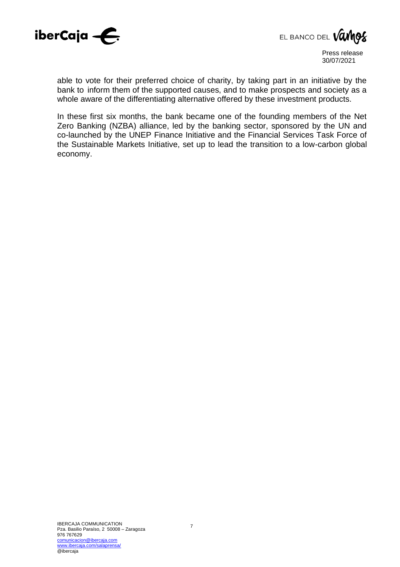



able to vote for their preferred choice of charity, by taking part in an initiative by the bank to inform them of the supported causes, and to make prospects and society as a whole aware of the differentiating alternative offered by these investment products.

In these first six months, the bank became one of the founding members of the Net Zero Banking (NZBA) alliance, led by the banking sector, sponsored by the UN and co-launched by the UNEP Finance Initiative and the Financial Services Task Force of the Sustainable Markets Initiative, set up to lead the transition to a low-carbon global economy.